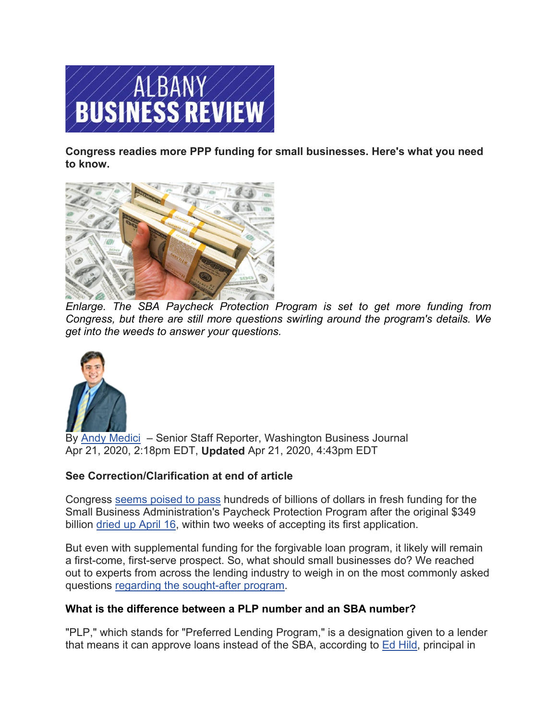

**Congress readies more PPP funding for small businesses. Here's what you need [to know.](https://www.bizjournals.com/)**



*[Enlarge.](https://www.bizjournals.com/) The SBA Paycheck Protection Program is set to get more funding from Congress, but there are still more questions swirling around the program's details. We [get into the weeds to answer your questions.](https://www.bizjournals.com/washington/bio/29802/Andy+Medici)*



By Andy [Medici](https://www.bizjournals.com/washington/bio/29802/Andy+Medici) – Senior Staff Reporter, Washington Business Journal Apr 21, 2020, 2:18pm EDT, **Updated** Apr 21, 2020, 4:43pm EDT

# **See Correction/Clarification at end of article**

Congress [seems poised to pass](https://www.bizjournals.com/bizjournals/news/2020/04/21/congress-rushes-to-seal-deal-to-replenish-small.html) hundreds of billions of dollars in fresh funding for the Small Business Administration's Paycheck Protection Program after the original \$349 billion [dried up April 16,](https://www.bizjournals.com/washington/news/2020/04/16/sbas-349b-paycheck-protection-program-officially.html) within two weeks of accepting its first application.

But even with supplemental funding for the forgivable loan program, it likely will remain a first-come, first-serve prospect. So, what should small businesses do? We reached out to experts from across the lending industry to weigh in on the most commonly asked questions [regarding the sought-after program.](https://www.bizjournals.com/washington/news/2020/04/17/here-are-3-things-to-know-after-the-sbas-ppp-ran.html)

# **What is the difference between a PLP number and an SBA number?**

"PLP," which stands for "Preferred Lending Program," is a designation given to a lender that means it can approve loans instead of the SBA, according to [Ed Hild,](https://www.bizjournals.com/albany/search/results?q=Ed%20Hild) principal in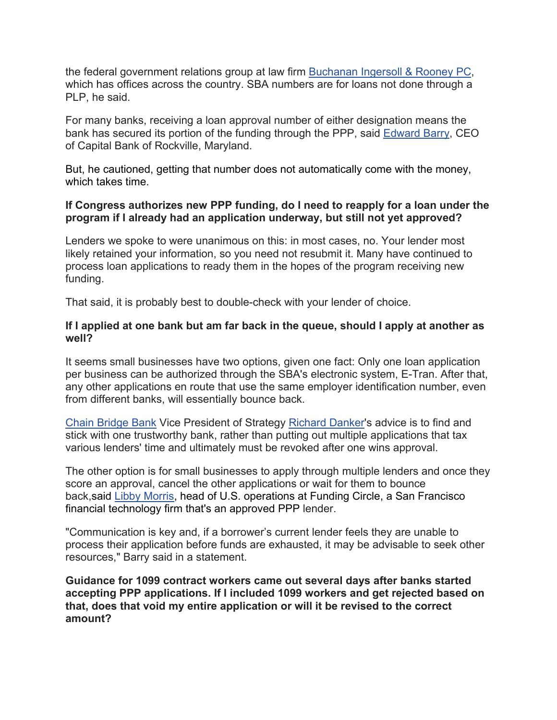the federal government relations group at law firm [Buchanan Ingersoll & Rooney PC,](https://www.bizjournals.com/profile/company/org_ch_8578d133419f10eeec4bad2632fad880) which has offices across the country. SBA numbers are for loans not done through a PLP, he said.

For many banks, receiving a loan approval number of either designation means the bank has secured its portion of the funding through the PPP, said [Edward Barry,](https://www.bizjournals.com/albany/search/results?q=Edward%20Barry) CEO of Capital Bank of Rockville, Maryland.

But, he cautioned, getting that number does not automatically come with the money, which takes time.

### **If Congress authorizes new PPP funding, do I need to reapply for a loan under the program if I already had an application underway, but still not yet approved?**

Lenders we spoke to were unanimous on this: in most cases, no. Your lender most likely retained your information, so you need not resubmit it. Many have continued to process loan applications to ready them in the hopes of the program receiving new funding.

That said, it is probably best to double-check with your lender of choice.

#### **If I applied at one bank but am far back in the queue, should I apply at another as well?**

It seems small businesses have two options, given one fact: Only one loan application per business can be authorized through the SBA's electronic system, E-Tran. After that, any other applications en route that use the same employer identification number, even from different banks, will essentially bounce back.

[Chain Bridge Bank](https://www.bizjournals.com/profile/company/org_ch_6738278df31feb9467dbb26012b96870) Vice President of Strategy [Richard Danker'](https://www.bizjournals.com/albany/search/results?q=Richard%20Danker)s advice is to find and stick with one trustworthy bank, rather than putting out multiple applications that tax various lenders' time and ultimately must be revoked after one wins approval.

The other option is for small businesses to apply through multiple lenders and once they score an approval, cancel the other applications or wait for them to bounce back,said [Libby Morris,](https://www.bizjournals.com/albany/search/results?q=Libby%20Morris) head of U.S. operations at Funding Circle, a San Francisco financial technology firm that's an approved PPP lender.

"Communication is key and, if a borrower's current lender feels they are unable to process their application before funds are exhausted, it may be advisable to seek other resources," Barry said in a statement.

**Guidance for 1099 contract workers came out several days after banks started accepting PPP applications. If I included 1099 workers and get rejected based on that, does that void my entire application or will it be revised to the correct amount?**